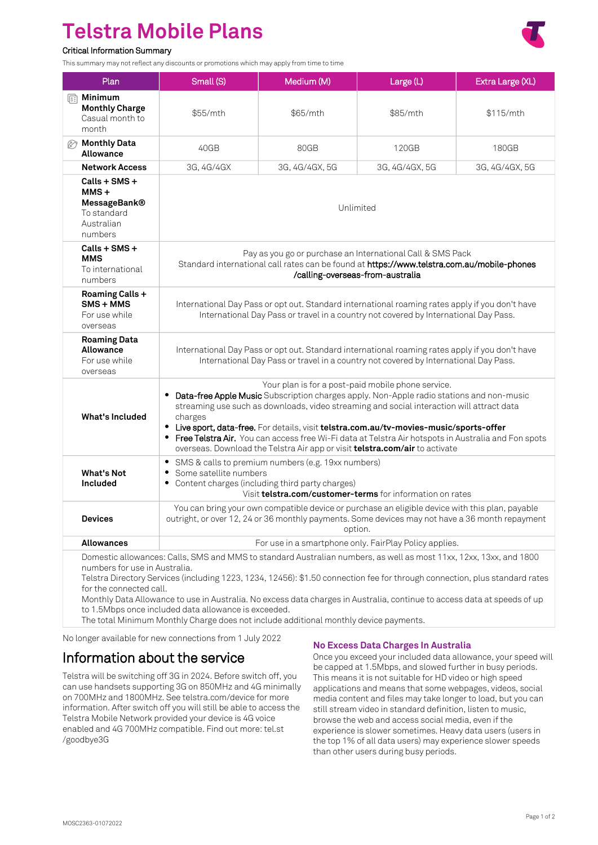# **Telstra Mobile Plans**

# Critical Information Summary

This summary may not reflect any discounts or promotions which may apply from time to time



| Plan                                                                                                                                                                                                                                                                                                                                                                                                                                                                                              | Small (S)                                                                                                                                                                                                                                                                                                                                                                                                                                                                                                                                 | Medium (M)     | Large (L)      | Extra Large (XL) |
|---------------------------------------------------------------------------------------------------------------------------------------------------------------------------------------------------------------------------------------------------------------------------------------------------------------------------------------------------------------------------------------------------------------------------------------------------------------------------------------------------|-------------------------------------------------------------------------------------------------------------------------------------------------------------------------------------------------------------------------------------------------------------------------------------------------------------------------------------------------------------------------------------------------------------------------------------------------------------------------------------------------------------------------------------------|----------------|----------------|------------------|
| Minimum<br>喧<br><b>Monthly Charge</b><br>Casual month to<br>month                                                                                                                                                                                                                                                                                                                                                                                                                                 | \$55/mth                                                                                                                                                                                                                                                                                                                                                                                                                                                                                                                                  | \$65/mth       | \$85/mth       | \$115/mth        |
| <b><i>Monthly Data</i></b><br><b>Allowance</b>                                                                                                                                                                                                                                                                                                                                                                                                                                                    | 40GB                                                                                                                                                                                                                                                                                                                                                                                                                                                                                                                                      | 80GB           | 120GB          | 180GB            |
| <b>Network Access</b>                                                                                                                                                                                                                                                                                                                                                                                                                                                                             | 3G, 4G/4GX                                                                                                                                                                                                                                                                                                                                                                                                                                                                                                                                | 3G, 4G/4GX, 5G | 3G, 4G/4GX, 5G | 3G, 4G/4GX, 5G   |
| Calls + SMS +<br>$MMS +$<br><b>MessageBank®</b><br>To standard<br>Australian<br>numbers                                                                                                                                                                                                                                                                                                                                                                                                           | Unlimited                                                                                                                                                                                                                                                                                                                                                                                                                                                                                                                                 |                |                |                  |
| Calls + SMS +<br><b>MMS</b><br>To international<br>numbers                                                                                                                                                                                                                                                                                                                                                                                                                                        | Pay as you go or purchase an International Call & SMS Pack<br>Standard international call rates can be found at https://www.telstra.com.au/mobile-phones<br>/calling-overseas-from-australia                                                                                                                                                                                                                                                                                                                                              |                |                |                  |
| Roaming Calls +<br>$SMS + MMS$<br>For use while<br>overseas                                                                                                                                                                                                                                                                                                                                                                                                                                       | International Day Pass or opt out. Standard international roaming rates apply if you don't have<br>International Day Pass or travel in a country not covered by International Day Pass.                                                                                                                                                                                                                                                                                                                                                   |                |                |                  |
| <b>Roaming Data</b><br><b>Allowance</b><br>For use while<br>overseas                                                                                                                                                                                                                                                                                                                                                                                                                              | International Day Pass or opt out. Standard international roaming rates apply if you don't have<br>International Day Pass or travel in a country not covered by International Day Pass.                                                                                                                                                                                                                                                                                                                                                   |                |                |                  |
| <b>What's Included</b>                                                                                                                                                                                                                                                                                                                                                                                                                                                                            | Your plan is for a post-paid mobile phone service.<br>Data-free Apple Music Subscription charges apply. Non-Apple radio stations and non-music<br>streaming use such as downloads, video streaming and social interaction will attract data<br>charges<br>• Live sport, data-free. For details, visit telstra.com.au/tv-movies-music/sports-offer<br>• Free Telstra Air. You can access free Wi-Fi data at Telstra Air hotspots in Australia and Fon spots<br>overseas. Download the Telstra Air app or visit telstra.com/air to activate |                |                |                  |
| <b>What's Not</b><br>Included                                                                                                                                                                                                                                                                                                                                                                                                                                                                     | • SMS & calls to premium numbers (e.g. 19xx numbers)<br>Some satellite numbers<br>٠<br>• Content charges (including third party charges)<br>Visit telstra.com/customer-terms for information on rates                                                                                                                                                                                                                                                                                                                                     |                |                |                  |
| <b>Devices</b>                                                                                                                                                                                                                                                                                                                                                                                                                                                                                    | You can bring your own compatible device or purchase an eligible device with this plan, payable<br>outright, or over 12, 24 or 36 monthly payments. Some devices may not have a 36 month repayment<br>option.                                                                                                                                                                                                                                                                                                                             |                |                |                  |
| <b>Allowances</b>                                                                                                                                                                                                                                                                                                                                                                                                                                                                                 | For use in a smartphone only. FairPlay Policy applies.                                                                                                                                                                                                                                                                                                                                                                                                                                                                                    |                |                |                  |
| Domestic allowances: Calls, SMS and MMS to standard Australian numbers, as well as most 11xx, 12xx, 13xx, and 1800<br>numbers for use in Australia.<br>Telstra Directory Services (including 1223, 1234, 12456): \$1.50 connection fee for through connection, plus standard rates<br>for the connected call.<br>Monthly Data Allowance to use in Australia. No excess data charges in Australia, continue to access data at speeds of up<br>to 1.5Mbps once included data allowance is exceeded. |                                                                                                                                                                                                                                                                                                                                                                                                                                                                                                                                           |                |                |                  |

The total Minimum Monthly Charge does not include additional monthly device payments.

No longer available for new connections from 1 July 2022

# Information about the service

Telstra will be switching off 3G in 2024. Before switch off, you can use handsets supporting 3G on 850MHz and 4G minimally on 700MHz and 1800MHz. See telstra.com/device for more information. After switch off you will still be able to access the Telstra Mobile Network provided your device is 4G voice enabled and 4G 700MHz compatible. Find out more: tel.st /goodbye3G

# **No Excess Data Charges In Australia**

Once you exceed your included data allowance, your speed will be capped at 1.5Mbps, and slowed further in busy periods. This means it is not suitable for HD video or high speed applications and means that some webpages, videos, social media content and files may take longer to load, but you can still stream video in standard definition, listen to music, browse the web and access social media, even if the experience is slower sometimes. Heavy data users (users in the top 1% of all data users) may experience slower speeds than other users during busy periods.